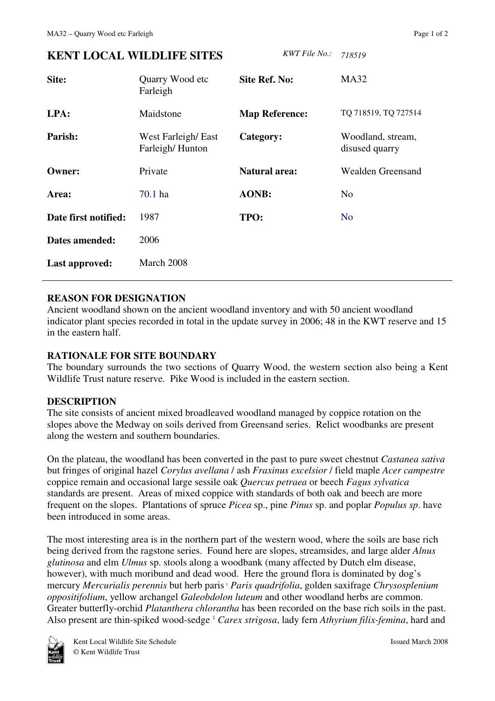## **KENT LOCAL WILDLIFE SITES** *KWT File No.: <sup>718519</sup>*

| Site:                | Quarry Wood etc<br>Farleigh            | <b>Site Ref. No:</b>  | <b>MA32</b>                         |
|----------------------|----------------------------------------|-----------------------|-------------------------------------|
| LPA:                 | Maidstone                              | <b>Map Reference:</b> | TQ 718519, TQ 727514                |
| Parish:              | West Farleigh/ East<br>Farleigh/Hunton | Category:             | Woodland, stream,<br>disused quarry |
| <b>Owner:</b>        | Private                                | <b>Natural area:</b>  | <b>Wealden Greensand</b>            |
| Area:                | 70.1 ha                                | AONB:                 | N <sub>0</sub>                      |
| Date first notified: | 1987                                   | TPO:                  | N <sub>o</sub>                      |
| Dates amended:       | 2006                                   |                       |                                     |
| Last approved:       | March 2008                             |                       |                                     |

## **REASON FOR DESIGNATION**

Ancient woodland shown on the ancient woodland inventory and with 50 ancient woodland indicator plant species recorded in total in the update survey in 2006; 48 in the KWT reserve and 15 in the eastern half.

## **RATIONALE FOR SITE BOUNDARY**

The boundary surrounds the two sections of Quarry Wood, the western section also being a Kent Wildlife Trust nature reserve. Pike Wood is included in the eastern section.

## **DESCRIPTION**

The site consists of ancient mixed broadleaved woodland managed by coppice rotation on the slopes above the Medway on soils derived from Greensand series. Relict woodbanks are present along the western and southern boundaries.

On the plateau, the woodland has been converted in the past to pure sweet chestnut *Castanea sativa* but fringes of original hazel *Corylus avellana* / ash *Fraxinus excelsior* / field maple *Acer campestre* coppice remain and occasional large sessile oak *Quercus petraea* or beech *Fagus sylvatica* standards are present. Areas of mixed coppice with standards of both oak and beech are more frequent on the slopes. Plantations of spruce *Picea* sp., pine *Pinus* sp. and poplar *Populus sp*. have been introduced in some areas.

The most interesting area is in the northern part of the western wood, where the soils are base rich being derived from the ragstone series. Found here are slopes, streamsides, and large alder *Alnus glutinosa* and elm *Ulmus* sp. stools along a woodbank (many affected by Dutch elm disease, however), with much moribund and dead wood. Here the ground flora is dominated by dog's mercury *Mercurialis perennis* but herb paris <sup>1</sup> *Paris quadrifolia*, golden saxifrage *Chrysosplenium oppositifolium*, yellow archangel *Galeobdolon luteum* and other woodland herbs are common. Greater butterfly-orchid *Platanthera chlorantha* has been recorded on the base rich soils in the past. Also present are thin-spiked wood-sedge <sup>1</sup> *Carex strigosa*, lady fern *Athyrium filix-femina*, hard and



Kent Local Wildlife Site Schedule © Kent Wildlife Trust